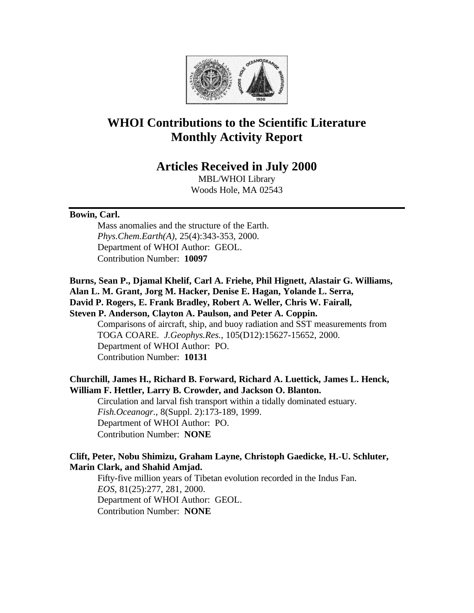

# **WHOI Contributions to the Scientific Literature Monthly Activity Report**

# **Articles Received in July 2000**

MBL/WHOI Library Woods Hole, MA 02543

#### **Bowin, Carl.**

Mass anomalies and the structure of the Earth. *Phys.Chem.Earth(A)*, 25(4):343-353, 2000. Department of WHOI Author: GEOL. Contribution Number: **10097**

**Burns, Sean P., Djamal Khelif, Carl A. Friehe, Phil Hignett, Alastair G. Williams, Alan L. M. Grant, Jorg M. Hacker, Denise E. Hagan, Yolande L. Serra, David P. Rogers, E. Frank Bradley, Robert A. Weller, Chris W. Fairall,** 

**Steven P. Anderson, Clayton A. Paulson, and Peter A. Coppin.**

Comparisons of aircraft, ship, and buoy radiation and SST measurements from TOGA COARE. *J.Geophys.Res.*, 105(D12):15627-15652, 2000. Department of WHOI Author: PO. Contribution Number: **10131**

# **Churchill, James H., Richard B. Forward, Richard A. Luettick, James L. Henck, William F. Hettler, Larry B. Crowder, and Jackson O. Blanton.**

Circulation and larval fish transport within a tidally dominated estuary. *Fish.Oceanogr.*, 8(Suppl. 2):173-189, 1999. Department of WHOI Author: PO. Contribution Number: **NONE**

# **Clift, Peter, Nobu Shimizu, Graham Layne, Christoph Gaedicke, H.-U. Schluter, Marin Clark, and Shahid Amjad.**

Fifty-five million years of Tibetan evolution recorded in the Indus Fan. *EOS*, 81(25):277, 281, 2000. Department of WHOI Author: GEOL. Contribution Number: **NONE**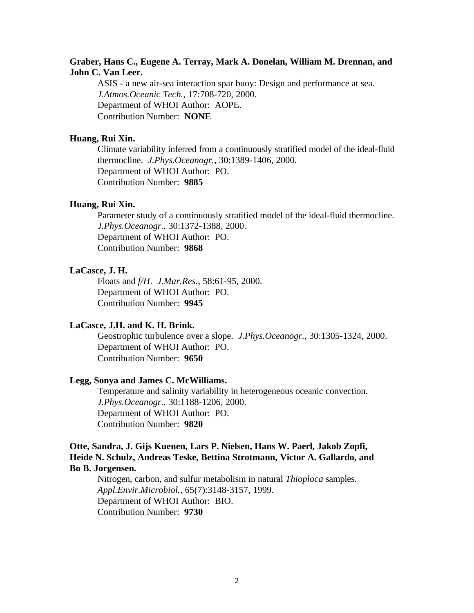# **Graber, Hans C., Eugene A. Terray, Mark A. Donelan, William M. Drennan, and John C. Van Leer.**

ASIS - a new air-sea interaction spar buoy: Design and performance at sea. *J.Atmos.Oceanic Tech.*, 17:708-720, 2000. Department of WHOI Author: AOPE. Contribution Number: **NONE**

#### **Huang, Rui Xin.**

Climate variability inferred from a continuously stratified model of the ideal-fluid thermocline. *J.Phys.Oceanogr.*, 30:1389-1406, 2000. Department of WHOI Author: PO. Contribution Number: **9885**

# **Huang, Rui Xin.**

Parameter study of a continuously stratified model of the ideal-fluid thermocline. *J.Phys.Oceanogr.*, 30:1372-1388, 2000. Department of WHOI Author: PO. Contribution Number: **9868**

#### **LaCasce, J. H.**

Floats and *f/H*. *J.Mar.Res.*, 58:61-95, 2000. Department of WHOI Author: PO. Contribution Number: **9945**

#### **LaCasce, J.H. and K. H. Brink.**

Geostrophic turbulence over a slope. *J.Phys.Oceanogr.*, 30:1305-1324, 2000. Department of WHOI Author: PO. Contribution Number: **9650**

#### **Legg, Sonya and James C. McWilliams.**

Temperature and salinity variability in heterogeneous oceanic convection. *J.Phys.Oceanogr.*, 30:1188-1206, 2000. Department of WHOI Author: PO. Contribution Number: **9820**

### **Otte, Sandra, J. Gijs Kuenen, Lars P. Nielsen, Hans W. Paerl, Jakob Zopfi, Heide N. Schulz, Andreas Teske, Bettina Strotmann, Victor A. Gallardo, and Bo B. Jorgensen.**

Nitrogen, carbon, and sulfur metabolism in natural *Thioploca* samples. *Appl.Envir.Microbiol.*, 65(7):3148-3157, 1999. Department of WHOI Author: BIO. Contribution Number: **9730**